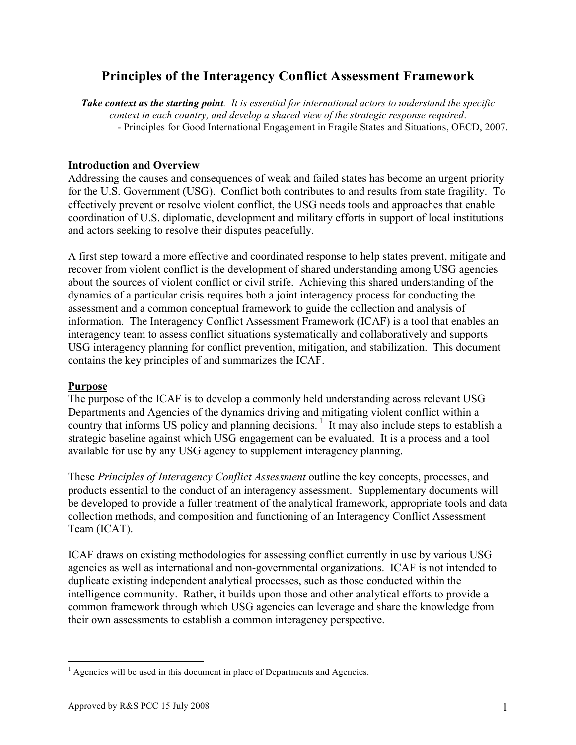# **Principles of the Interagency Conflict Assessment Framework**

*Take context as the starting point. It is essential for international actors to understand the specific context in each country, and develop a shared view of the strategic response required*. - Principles for Good International Engagement in Fragile States and Situations, OECD, 2007.

# **Introduction and Overview**

Addressing the causes and consequences of weak and failed states has become an urgent priority for the U.S. Government (USG). Conflict both contributes to and results from state fragility. To effectively prevent or resolve violent conflict, the USG needs tools and approaches that enable coordination of U.S. diplomatic, development and military efforts in support of local institutions and actors seeking to resolve their disputes peacefully.

A first step toward a more effective and coordinated response to help states prevent, mitigate and recover from violent conflict is the development of shared understanding among USG agencies about the sources of violent conflict or civil strife. Achieving this shared understanding of the dynamics of a particular crisis requires both a joint interagency process for conducting the assessment and a common conceptual framework to guide the collection and analysis of information. The Interagency Conflict Assessment Framework (ICAF) is a tool that enables an interagency team to assess conflict situations systematically and collaboratively and supports USG interagency planning for conflict prevention, mitigation, and stabilization. This document contains the key principles of and summarizes the ICAF.

# **Purpose**

The purpose of the ICAF is to develop a commonly held understanding across relevant USG Departments and Agencies of the dynamics driving and mitigating violent conflict within a country that informs US policy and planning decisions. 1 It may also include steps to establish a strategic baseline against which USG engagement can be evaluated. It is a process and a tool available for use by any USG agency to supplement interagency planning.

These *Principles of Interagency Conflict Assessment* outline the key concepts, processes, and products essential to the conduct of an interagency assessment. Supplementary documents will be developed to provide a fuller treatment of the analytical framework, appropriate tools and data collection methods, and composition and functioning of an Interagency Conflict Assessment Team (ICAT).

ICAF draws on existing methodologies for assessing conflict currently in use by various USG agencies as well as international and non-governmental organizations. ICAF is not intended to duplicate existing independent analytical processes, such as those conducted within the intelligence community. Rather, it builds upon those and other analytical efforts to provide a common framework through which USG agencies can leverage and share the knowledge from their own assessments to establish a common interagency perspective.

 $<sup>1</sup>$  Agencies will be used in this document in place of Departments and Agencies.</sup>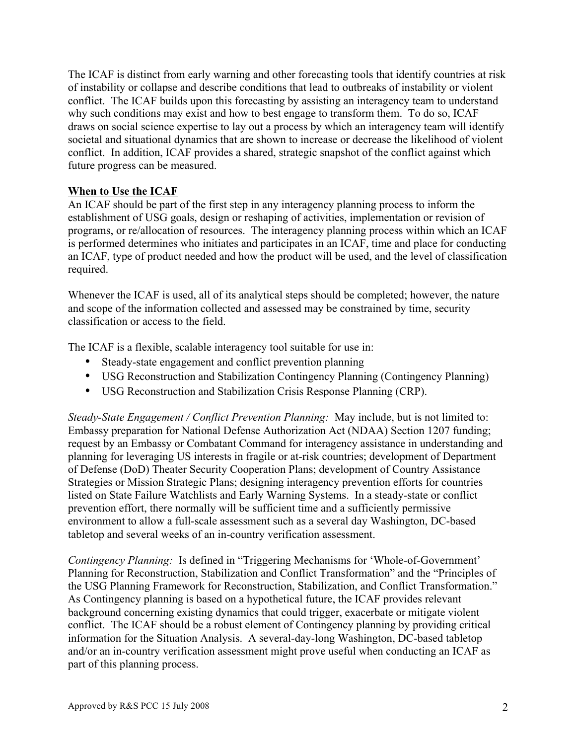The ICAF is distinct from early warning and other forecasting tools that identify countries at risk of instability or collapse and describe conditions that lead to outbreaks of instability or violent conflict. The ICAF builds upon this forecasting by assisting an interagency team to understand why such conditions may exist and how to best engage to transform them. To do so, ICAF draws on social science expertise to lay out a process by which an interagency team will identify societal and situational dynamics that are shown to increase or decrease the likelihood of violent conflict. In addition, ICAF provides a shared, strategic snapshot of the conflict against which future progress can be measured.

## **When to Use the ICAF**

An ICAF should be part of the first step in any interagency planning process to inform the establishment of USG goals, design or reshaping of activities, implementation or revision of programs, or re/allocation of resources. The interagency planning process within which an ICAF is performed determines who initiates and participates in an ICAF, time and place for conducting an ICAF, type of product needed and how the product will be used, and the level of classification required.

Whenever the ICAF is used, all of its analytical steps should be completed; however, the nature and scope of the information collected and assessed may be constrained by time, security classification or access to the field.

The ICAF is a flexible, scalable interagency tool suitable for use in:

- Steady-state engagement and conflict prevention planning
- USG Reconstruction and Stabilization Contingency Planning (Contingency Planning)
- USG Reconstruction and Stabilization Crisis Response Planning (CRP).

*Steady-State Engagement / Conflict Prevention Planning:* May include, but is not limited to: Embassy preparation for National Defense Authorization Act (NDAA) Section 1207 funding; request by an Embassy or Combatant Command for interagency assistance in understanding and planning for leveraging US interests in fragile or at-risk countries; development of Department of Defense (DoD) Theater Security Cooperation Plans; development of Country Assistance Strategies or Mission Strategic Plans; designing interagency prevention efforts for countries listed on State Failure Watchlists and Early Warning Systems. In a steady-state or conflict prevention effort, there normally will be sufficient time and a sufficiently permissive environment to allow a full-scale assessment such as a several day Washington, DC-based tabletop and several weeks of an in-country verification assessment.

*Contingency Planning:* Is defined in "Triggering Mechanisms for 'Whole-of-Government' Planning for Reconstruction, Stabilization and Conflict Transformation" and the "Principles of the USG Planning Framework for Reconstruction, Stabilization, and Conflict Transformation." As Contingency planning is based on a hypothetical future, the ICAF provides relevant background concerning existing dynamics that could trigger, exacerbate or mitigate violent conflict. The ICAF should be a robust element of Contingency planning by providing critical information for the Situation Analysis. A several-day-long Washington, DC-based tabletop and/or an in-country verification assessment might prove useful when conducting an ICAF as part of this planning process.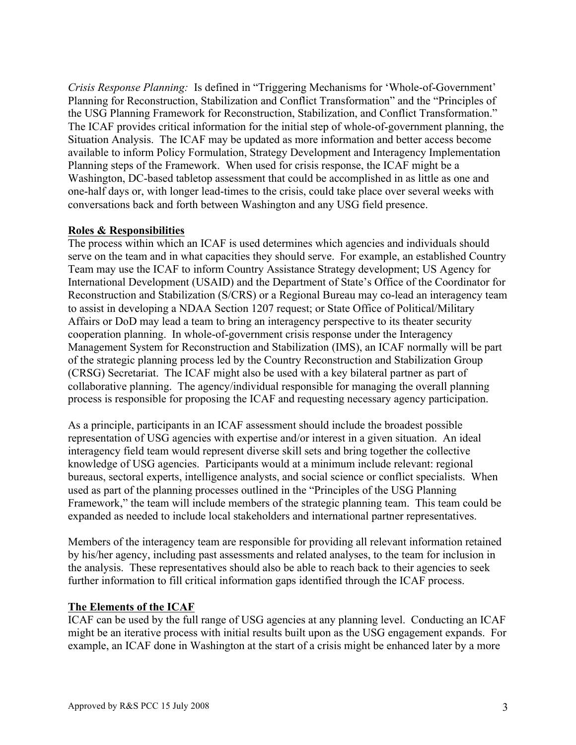*Crisis Response Planning:* Is defined in "Triggering Mechanisms for 'Whole-of-Government' Planning for Reconstruction, Stabilization and Conflict Transformation" and the "Principles of the USG Planning Framework for Reconstruction, Stabilization, and Conflict Transformation." The ICAF provides critical information for the initial step of whole-of-government planning, the Situation Analysis. The ICAF may be updated as more information and better access become available to inform Policy Formulation, Strategy Development and Interagency Implementation Planning steps of the Framework. When used for crisis response, the ICAF might be a Washington, DC-based tabletop assessment that could be accomplished in as little as one and one-half days or, with longer lead-times to the crisis, could take place over several weeks with conversations back and forth between Washington and any USG field presence.

## **Roles & Responsibilities**

The process within which an ICAF is used determines which agencies and individuals should serve on the team and in what capacities they should serve. For example, an established Country Team may use the ICAF to inform Country Assistance Strategy development; US Agency for International Development (USAID) and the Department of State's Office of the Coordinator for Reconstruction and Stabilization (S/CRS) or a Regional Bureau may co-lead an interagency team to assist in developing a NDAA Section 1207 request; or State Office of Political/Military Affairs or DoD may lead a team to bring an interagency perspective to its theater security cooperation planning. In whole-of-government crisis response under the Interagency Management System for Reconstruction and Stabilization (IMS), an ICAF normally will be part of the strategic planning process led by the Country Reconstruction and Stabilization Group (CRSG) Secretariat. The ICAF might also be used with a key bilateral partner as part of collaborative planning. The agency/individual responsible for managing the overall planning process is responsible for proposing the ICAF and requesting necessary agency participation.

As a principle, participants in an ICAF assessment should include the broadest possible representation of USG agencies with expertise and/or interest in a given situation. An ideal interagency field team would represent diverse skill sets and bring together the collective knowledge of USG agencies. Participants would at a minimum include relevant: regional bureaus, sectoral experts, intelligence analysts, and social science or conflict specialists. When used as part of the planning processes outlined in the "Principles of the USG Planning Framework," the team will include members of the strategic planning team. This team could be expanded as needed to include local stakeholders and international partner representatives.

Members of the interagency team are responsible for providing all relevant information retained by his/her agency, including past assessments and related analyses, to the team for inclusion in the analysis. These representatives should also be able to reach back to their agencies to seek further information to fill critical information gaps identified through the ICAF process.

#### **The Elements of the ICAF**

ICAF can be used by the full range of USG agencies at any planning level. Conducting an ICAF might be an iterative process with initial results built upon as the USG engagement expands. For example, an ICAF done in Washington at the start of a crisis might be enhanced later by a more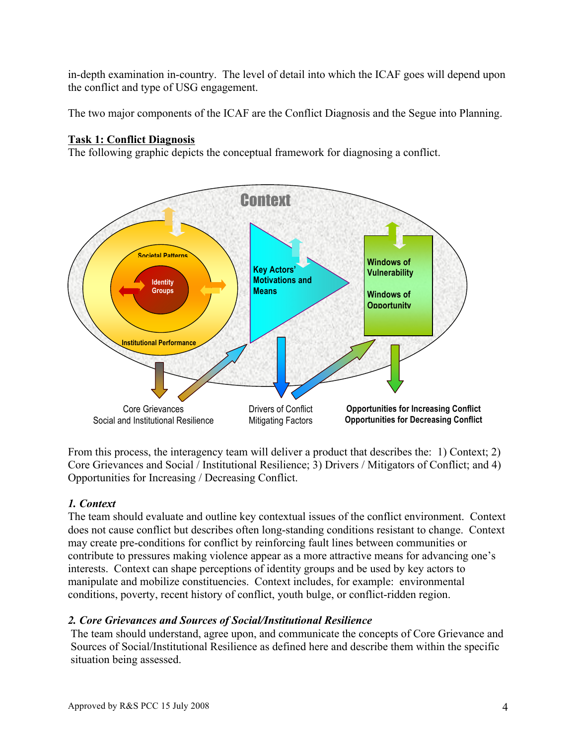in-depth examination in-country. The level of detail into which the ICAF goes will depend upon the conflict and type of USG engagement.

The two major components of the ICAF are the Conflict Diagnosis and the Segue into Planning.

# **Task 1: Conflict Diagnosis**

The following graphic depicts the conceptual framework for diagnosing a conflict.



From this process, the interagency team will deliver a product that describes the: 1) Context; 2) Core Grievances and Social / Institutional Resilience; 3) Drivers / Mitigators of Conflict; and 4) Opportunities for Increasing / Decreasing Conflict.

# *1. Context*

The team should evaluate and outline key contextual issues of the conflict environment. Context does not cause conflict but describes often long-standing conditions resistant to change. Context may create pre-conditions for conflict by reinforcing fault lines between communities or contribute to pressures making violence appear as a more attractive means for advancing one's interests. Context can shape perceptions of identity groups and be used by key actors to manipulate and mobilize constituencies. Context includes, for example: environmental conditions, poverty, recent history of conflict, youth bulge, or conflict-ridden region.

#### *2. Core Grievances and Sources of Social/Institutional Resilience*

The team should understand, agree upon, and communicate the concepts of Core Grievance and Sources of Social/Institutional Resilience as defined here and describe them within the specific situation being assessed.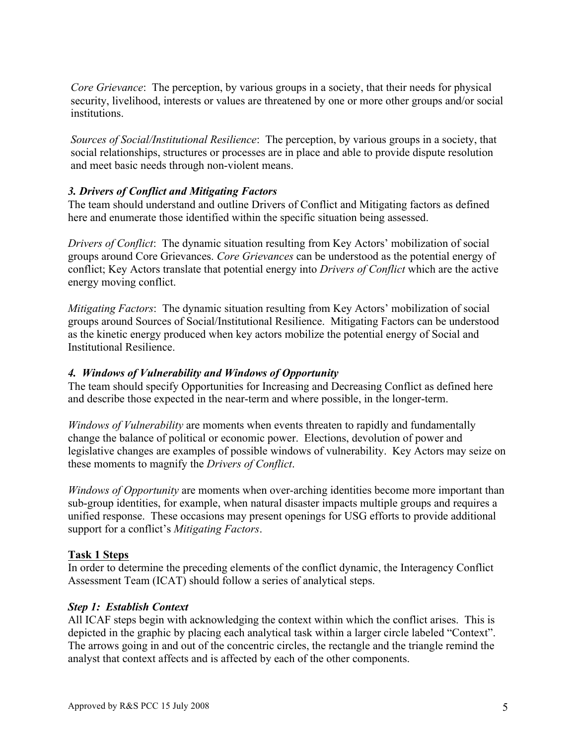*Core Grievance*: The perception, by various groups in a society, that their needs for physical security, livelihood, interests or values are threatened by one or more other groups and/or social institutions.

*Sources of Social/Institutional Resilience*: The perception, by various groups in a society, that social relationships, structures or processes are in place and able to provide dispute resolution and meet basic needs through non-violent means.

# *3. Drivers of Conflict and Mitigating Factors*

The team should understand and outline Drivers of Conflict and Mitigating factors as defined here and enumerate those identified within the specific situation being assessed.

*Drivers of Conflict*: The dynamic situation resulting from Key Actors' mobilization of social groups around Core Grievances. *Core Grievances* can be understood as the potential energy of conflict; Key Actors translate that potential energy into *Drivers of Conflict* which are the active energy moving conflict.

*Mitigating Factors*: The dynamic situation resulting from Key Actors' mobilization of social groups around Sources of Social/Institutional Resilience. Mitigating Factors can be understood as the kinetic energy produced when key actors mobilize the potential energy of Social and Institutional Resilience.

#### *4. Windows of Vulnerability and Windows of Opportunity*

The team should specify Opportunities for Increasing and Decreasing Conflict as defined here and describe those expected in the near-term and where possible, in the longer-term.

*Windows of Vulnerability* are moments when events threaten to rapidly and fundamentally change the balance of political or economic power. Elections, devolution of power and legislative changes are examples of possible windows of vulnerability. Key Actors may seize on these moments to magnify the *Drivers of Conflict*.

*Windows of Opportunity* are moments when over-arching identities become more important than sub-group identities, for example, when natural disaster impacts multiple groups and requires a unified response. These occasions may present openings for USG efforts to provide additional support for a conflict's *Mitigating Factors*.

#### **Task 1 Steps**

In order to determine the preceding elements of the conflict dynamic, the Interagency Conflict Assessment Team (ICAT) should follow a series of analytical steps.

#### *Step 1: Establish Context*

All ICAF steps begin with acknowledging the context within which the conflict arises. This is depicted in the graphic by placing each analytical task within a larger circle labeled "Context". The arrows going in and out of the concentric circles, the rectangle and the triangle remind the analyst that context affects and is affected by each of the other components.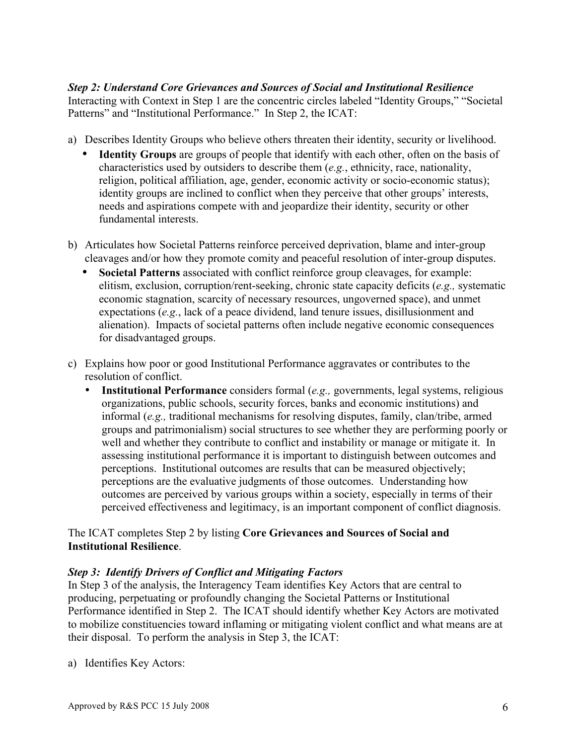# *Step 2: Understand Core Grievances and Sources of Social and Institutional Resilience*

Interacting with Context in Step 1 are the concentric circles labeled "Identity Groups," "Societal Patterns" and "Institutional Performance." In Step 2, the ICAT:

- a) Describes Identity Groups who believe others threaten their identity, security or livelihood.
	- **Identity Groups** are groups of people that identify with each other, often on the basis of characteristics used by outsiders to describe them (*e.g.*, ethnicity, race, nationality, religion, political affiliation, age, gender, economic activity or socio-economic status); identity groups are inclined to conflict when they perceive that other groups' interests, needs and aspirations compete with and jeopardize their identity, security or other fundamental interests.
- b) Articulates how Societal Patterns reinforce perceived deprivation, blame and inter-group cleavages and/or how they promote comity and peaceful resolution of inter-group disputes.
	- **Societal Patterns** associated with conflict reinforce group cleavages, for example: elitism, exclusion, corruption/rent-seeking, chronic state capacity deficits (*e.g.,* systematic economic stagnation, scarcity of necessary resources, ungoverned space), and unmet expectations (*e.g.*, lack of a peace dividend, land tenure issues, disillusionment and alienation). Impacts of societal patterns often include negative economic consequences for disadvantaged groups.
- c) Explains how poor or good Institutional Performance aggravates or contributes to the resolution of conflict.
	- **Institutional Performance** considers formal (*e.g.,* governments, legal systems, religious organizations, public schools, security forces, banks and economic institutions) and informal (*e.g.,* traditional mechanisms for resolving disputes, family, clan/tribe, armed groups and patrimonialism) social structures to see whether they are performing poorly or well and whether they contribute to conflict and instability or manage or mitigate it. In assessing institutional performance it is important to distinguish between outcomes and perceptions. Institutional outcomes are results that can be measured objectively; perceptions are the evaluative judgments of those outcomes. Understanding how outcomes are perceived by various groups within a society, especially in terms of their perceived effectiveness and legitimacy, is an important component of conflict diagnosis.

# The ICAT completes Step 2 by listing **Core Grievances and Sources of Social and Institutional Resilience**.

# *Step 3: Identify Drivers of Conflict and Mitigating Factors*

In Step 3 of the analysis, the Interagency Team identifies Key Actors that are central to producing, perpetuating or profoundly changing the Societal Patterns or Institutional Performance identified in Step 2. The ICAT should identify whether Key Actors are motivated to mobilize constituencies toward inflaming or mitigating violent conflict and what means are at their disposal. To perform the analysis in Step 3, the ICAT:

a) Identifies Key Actors: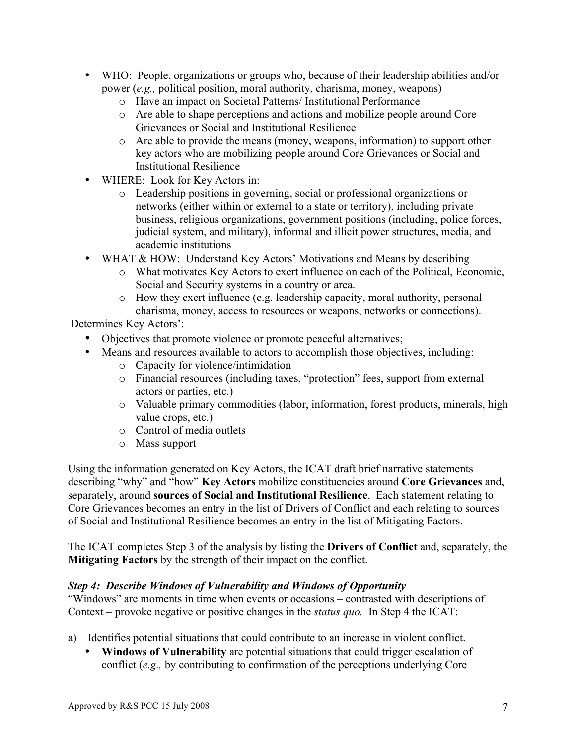- WHO: People, organizations or groups who, because of their leadership abilities and/or power (*e.g.,* political position, moral authority, charisma, money, weapons)
	- o Have an impact on Societal Patterns/ Institutional Performance
	- o Are able to shape perceptions and actions and mobilize people around Core Grievances or Social and Institutional Resilience
	- o Are able to provide the means (money, weapons, information) to support other key actors who are mobilizing people around Core Grievances or Social and Institutional Resilience
- WHERE: Look for Key Actors in:
	- o Leadership positions in governing, social or professional organizations or networks (either within or external to a state or territory), including private business, religious organizations, government positions (including, police forces, judicial system, and military), informal and illicit power structures, media, and academic institutions
- WHAT & HOW: Understand Key Actors' Motivations and Means by describing
	- o What motivates Key Actors to exert influence on each of the Political, Economic, Social and Security systems in a country or area.
	- o How they exert influence (e.g. leadership capacity, moral authority, personal charisma, money, access to resources or weapons, networks or connections).

Determines Key Actors':

- Objectives that promote violence or promote peaceful alternatives;
- Means and resources available to actors to accomplish those objectives, including:
	- o Capacity for violence/intimidation
	- o Financial resources (including taxes, "protection" fees, support from external actors or parties, etc.)
	- o Valuable primary commodities (labor, information, forest products, minerals, high value crops, etc.)
	- o Control of media outlets
	- o Mass support

Using the information generated on Key Actors, the ICAT draft brief narrative statements describing "why" and "how" **Key Actors** mobilize constituencies around **Core Grievances** and, separately, around **sources of Social and Institutional Resilience**. Each statement relating to Core Grievances becomes an entry in the list of Drivers of Conflict and each relating to sources of Social and Institutional Resilience becomes an entry in the list of Mitigating Factors.

The ICAT completes Step 3 of the analysis by listing the **Drivers of Conflict** and, separately, the **Mitigating Factors** by the strength of their impact on the conflict.

# *Step 4: Describe Windows of Vulnerability and Windows of Opportunity*

"Windows" are moments in time when events or occasions – contrasted with descriptions of Context – provoke negative or positive changes in the *status quo.* In Step 4 the ICAT:

- a) Identifies potential situations that could contribute to an increase in violent conflict.
	- **Windows of Vulnerability** are potential situations that could trigger escalation of conflict (*e.g.,* by contributing to confirmation of the perceptions underlying Core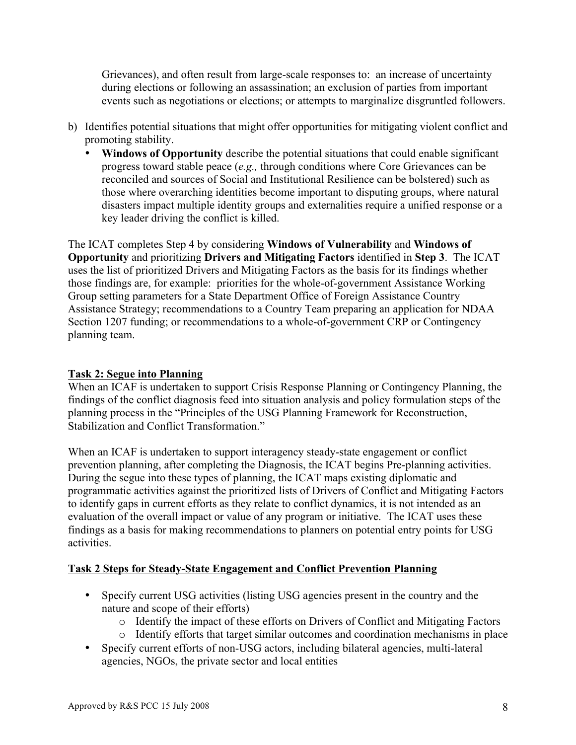Grievances), and often result from large-scale responses to: an increase of uncertainty during elections or following an assassination; an exclusion of parties from important events such as negotiations or elections; or attempts to marginalize disgruntled followers.

- b) Identifies potential situations that might offer opportunities for mitigating violent conflict and promoting stability.
	- **Windows of Opportunity** describe the potential situations that could enable significant progress toward stable peace (*e.g.,* through conditions where Core Grievances can be reconciled and sources of Social and Institutional Resilience can be bolstered) such as those where overarching identities become important to disputing groups, where natural disasters impact multiple identity groups and externalities require a unified response or a key leader driving the conflict is killed.

The ICAT completes Step 4 by considering **Windows of Vulnerability** and **Windows of Opportunity** and prioritizing **Drivers and Mitigating Factors** identified in **Step 3**. The ICAT uses the list of prioritized Drivers and Mitigating Factors as the basis for its findings whether those findings are, for example: priorities for the whole-of-government Assistance Working Group setting parameters for a State Department Office of Foreign Assistance Country Assistance Strategy; recommendations to a Country Team preparing an application for NDAA Section 1207 funding; or recommendations to a whole-of-government CRP or Contingency planning team.

# **Task 2: Segue into Planning**

When an ICAF is undertaken to support Crisis Response Planning or Contingency Planning, the findings of the conflict diagnosis feed into situation analysis and policy formulation steps of the planning process in the "Principles of the USG Planning Framework for Reconstruction, Stabilization and Conflict Transformation."

When an ICAF is undertaken to support interagency steady-state engagement or conflict prevention planning, after completing the Diagnosis, the ICAT begins Pre-planning activities. During the segue into these types of planning, the ICAT maps existing diplomatic and programmatic activities against the prioritized lists of Drivers of Conflict and Mitigating Factors to identify gaps in current efforts as they relate to conflict dynamics, it is not intended as an evaluation of the overall impact or value of any program or initiative. The ICAT uses these findings as a basis for making recommendations to planners on potential entry points for USG activities.

# **Task 2 Steps for Steady-State Engagement and Conflict Prevention Planning**

- Specify current USG activities (listing USG agencies present in the country and the nature and scope of their efforts)
	- o Identify the impact of these efforts on Drivers of Conflict and Mitigating Factors
	- o Identify efforts that target similar outcomes and coordination mechanisms in place
- Specify current efforts of non-USG actors, including bilateral agencies, multi-lateral agencies, NGOs, the private sector and local entities